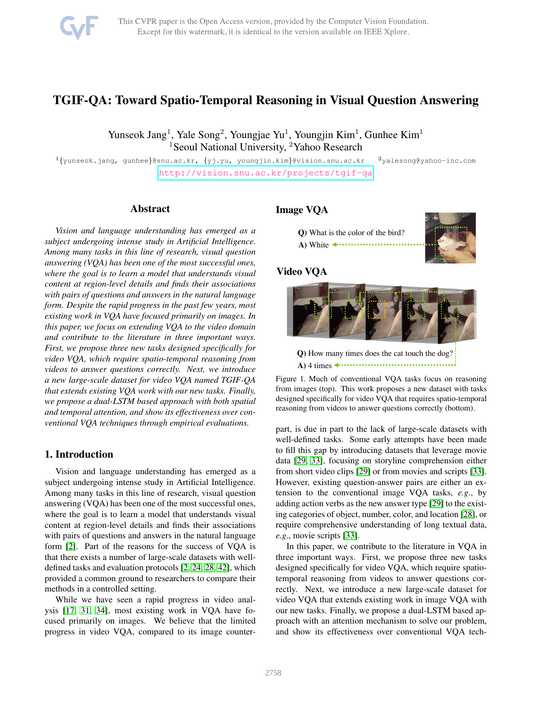

# TGIF-QA: Toward Spatio-Temporal Reasoning in Visual Question Answering

Yunseok Jang<sup>1</sup>, Yale Song<sup>2</sup>, Youngjae Yu<sup>1</sup>, Youngjin Kim<sup>1</sup>, Gunhee Kim<sup>1</sup> <sup>1</sup>Seoul National University, <sup>2</sup>Yahoo Research

 $1$ {yunseok.jang, gunhee}@snu.ac.kr, {yj.yu, youngjin.kim}@vision.snu.ac.kr  $2$ yalesong@yahoo-inc.com <http://vision.snu.ac.kr/projects/tgif-qa>

### Abstract

*Vision and language understanding has emerged as a subject undergoing intense study in Artificial Intelligence. Among many tasks in this line of research, visual question answering (VQA) has been one of the most successful ones, where the goal is to learn a model that understands visual content at region-level details and finds their associations with pairs of questions and answers in the natural language form. Despite the rapid progress in the past few years, most existing work in VQA have focused primarily on images. In this paper, we focus on extending VQA to the video domain and contribute to the literature in three important ways. First, we propose three new tasks designed specifically for video VQA, which require spatio-temporal reasoning from videos to answer questions correctly. Next, we introduce a new large-scale dataset for video VQA named TGIF-QA that extends existing VQA work with our new tasks. Finally, we propose a dual-LSTM based approach with both spatial and temporal attention, and show its effectiveness over conventional VQA techniques through empirical evaluations.*

## 1. Introduction

Vision and language understanding has emerged as a subject undergoing intense study in Artificial Intelligence. Among many tasks in this line of research, visual question answering (VQA) has been one of the most successful ones, where the goal is to learn a model that understands visual content at region-level details and finds their associations with pairs of questions and answers in the natural language form [\[2\]](#page-7-0). Part of the reasons for the success of VQA is that there exists a number of large-scale datasets with welldefined tasks and evaluation protocols [\[2,](#page-7-0) [24,](#page-8-0) [28,](#page-8-1) [42\]](#page-8-2), which provided a common ground to researchers to compare their methods in a controlled setting.

While we have seen a rapid progress in video analysis [\[17,](#page-8-3) [31,](#page-8-4) [34\]](#page-8-5), most existing work in VQA have focused primarily on images. We believe that the limited progress in video VQA, compared to its image counter-

## **Image VQA**

**Q)** What is the color of the bird? **A)** White



## **Video VQA**



**A)** 4 times

Figure 1. Much of conventional VQA tasks focus on reasoning from images (top). This work proposes a new dataset with tasks designed specifically for video VQA that requires spatio-temporal reasoning from videos to answer questions correctly (bottom).

part, is due in part to the lack of large-scale datasets with well-defined tasks. Some early attempts have been made to fill this gap by introducing datasets that leverage movie data [\[29,](#page-8-6) [33\]](#page-8-7), focusing on storyline comprehension either from short video clips [\[29\]](#page-8-6) or from movies and scripts [\[33\]](#page-8-7). However, existing question-answer pairs are either an extension to the conventional image VQA tasks, *e.g*., by adding action verbs as the new answer type [\[29\]](#page-8-6) to the existing categories of object, number, color, and location [\[28\]](#page-8-1), or require comprehensive understanding of long textual data, *e.g*., movie scripts [\[33\]](#page-8-7).

In this paper, we contribute to the literature in VQA in three important ways. First, we propose three new tasks designed specifically for video VQA, which require spatiotemporal reasoning from videos to answer questions correctly. Next, we introduce a new large-scale dataset for video VQA that extends existing work in image VQA with our new tasks. Finally, we propose a dual-LSTM based approach with an attention mechanism to solve our problem, and show its effectiveness over conventional VQA tech-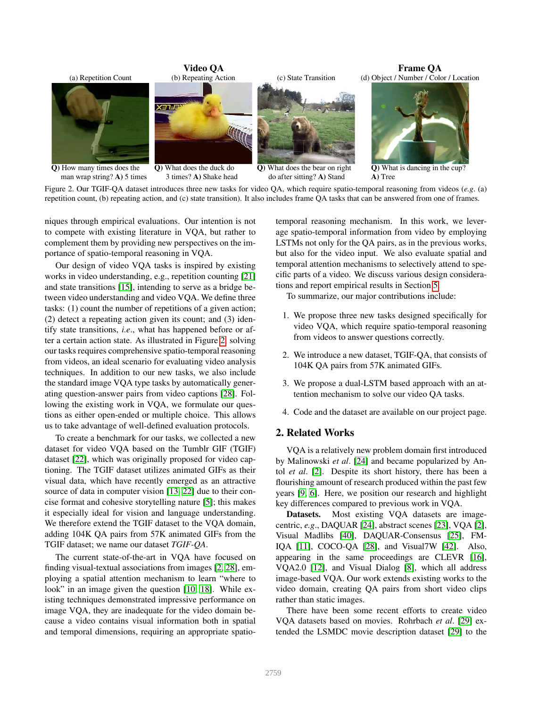

<span id="page-1-0"></span>**Q)** How many times does the man wrap string? **A)** 5 times

**Q)** What does the duck do 3 times? **A)** Shake head

**Q)** What does the bear on right do after sitting? **A)** Stand

**Q)** What is dancing in the cup? **A)** Tree

Figure 2. Our TGIF-QA dataset introduces three new tasks for video QA, which require spatio-temporal reasoning from videos (*e.g*. (a) repetition count, (b) repeating action, and (c) state transition). It also includes frame QA tasks that can be answered from one of frames.

niques through empirical evaluations. Our intention is not to compete with existing literature in VQA, but rather to complement them by providing new perspectives on the importance of spatio-temporal reasoning in VQA.

Our design of video VQA tasks is inspired by existing works in video understanding, e.g., repetition counting [\[21\]](#page-8-8) and state transitions [\[15\]](#page-8-9), intending to serve as a bridge between video understanding and video VQA. We define three tasks: (1) count the number of repetitions of a given action; (2) detect a repeating action given its count; and (3) identify state transitions, *i.e*., what has happened before or after a certain action state. As illustrated in Figure [2,](#page-1-0) solving our tasks requires comprehensive spatio-temporal reasoning from videos, an ideal scenario for evaluating video analysis techniques. In addition to our new tasks, we also include the standard image VQA type tasks by automatically generating question-answer pairs from video captions [\[28\]](#page-8-1). Following the existing work in VQA, we formulate our questions as either open-ended or multiple choice. This allows us to take advantage of well-defined evaluation protocols.

To create a benchmark for our tasks, we collected a new dataset for video VQA based on the Tumblr GIF (TGIF) dataset [\[22\]](#page-8-10), which was originally proposed for video captioning. The TGIF dataset utilizes animated GIFs as their visual data, which have recently emerged as an attractive source of data in computer vision [\[13,](#page-8-11) [22\]](#page-8-10) due to their concise format and cohesive storytelling nature [\[5\]](#page-8-12); this makes it especially ideal for vision and language understanding. We therefore extend the TGIF dataset to the VQA domain, adding 104K QA pairs from 57K animated GIFs from the TGIF dataset; we name our dataset *TGIF-QA*.

The current state-of-the-art in VQA have focused on finding visual-textual associations from images [\[2,](#page-7-0) [28\]](#page-8-1), employing a spatial attention mechanism to learn "where to look" in an image given the question [\[10,](#page-8-13) [18\]](#page-8-14). While existing techniques demonstrated impressive performance on image VQA, they are inadequate for the video domain because a video contains visual information both in spatial and temporal dimensions, requiring an appropriate spatiotemporal reasoning mechanism. In this work, we leverage spatio-temporal information from video by employing LSTMs not only for the QA pairs, as in the previous works, but also for the video input. We also evaluate spatial and temporal attention mechanisms to selectively attend to specific parts of a video. We discuss various design considerations and report empirical results in Section [5.](#page-6-0)

To summarize, our major contributions include:

- 1. We propose three new tasks designed specifically for video VQA, which require spatio-temporal reasoning from videos to answer questions correctly.
- 2. We introduce a new dataset, TGIF-QA, that consists of 104K QA pairs from 57K animated GIFs.
- 3. We propose a dual-LSTM based approach with an attention mechanism to solve our video QA tasks.
- 4. Code and the dataset are available on our project page.

## 2. Related Works

VQA is a relatively new problem domain first introduced by Malinowski *et al*. [\[24\]](#page-8-0) and became popularized by Antol *et al*. [\[2\]](#page-7-0). Despite its short history, there has been a flourishing amount of research produced within the past few years [\[9,](#page-8-15) [6\]](#page-8-16). Here, we position our research and highlight key differences compared to previous work in VQA.

Datasets. Most existing VQA datasets are imagecentric, *e.g*., DAQUAR [\[24\]](#page-8-0), abstract scenes [\[23\]](#page-8-17), VQA [\[2\]](#page-7-0), Visual Madlibs [\[40\]](#page-8-18), DAQUAR-Consensus [\[25\]](#page-8-19), FM-IQA [\[11\]](#page-8-20), COCO-QA [\[28\]](#page-8-1), and Visual7W [\[42\]](#page-8-2). Also, appearing in the same proceedings are CLEVR [\[16\]](#page-8-21), VQA2.0 [\[12\]](#page-8-22), and Visual Dialog [\[8\]](#page-8-23), which all address image-based VQA. Our work extends existing works to the video domain, creating QA pairs from short video clips rather than static images.

There have been some recent efforts to create video VQA datasets based on movies. Rohrbach *et al*. [\[29\]](#page-8-6) extended the LSMDC movie description dataset [\[29\]](#page-8-6) to the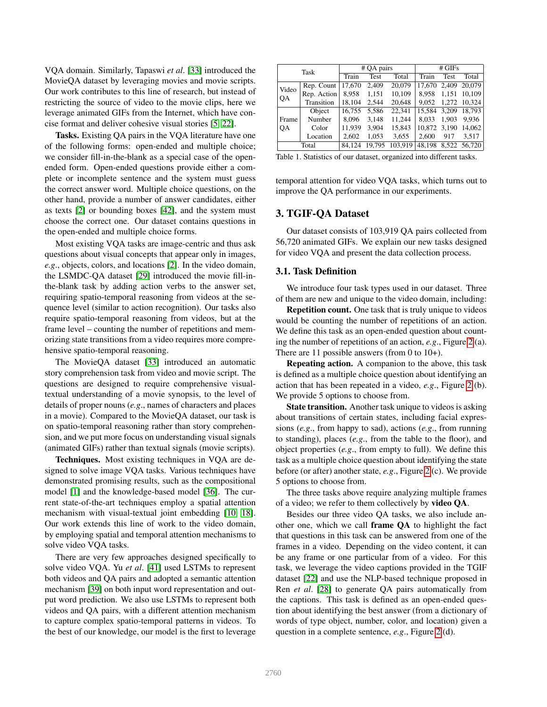VQA domain. Similarly, Tapaswi *et al*. [\[33\]](#page-8-7) introduced the MovieQA dataset by leveraging movies and movie scripts. Our work contributes to this line of research, but instead of restricting the source of video to the movie clips, here we leverage animated GIFs from the Internet, which have concise format and deliver cohesive visual stories [\[5,](#page-8-12) [22\]](#page-8-10).

Tasks. Existing QA pairs in the VQA literature have one of the following forms: open-ended and multiple choice; we consider fill-in-the-blank as a special case of the openended form. Open-ended questions provide either a complete or incomplete sentence and the system must guess the correct answer word. Multiple choice questions, on the other hand, provide a number of answer candidates, either as texts [\[2\]](#page-7-0) or bounding boxes [\[42\]](#page-8-2), and the system must choose the correct one. Our dataset contains questions in the open-ended and multiple choice forms.

Most existing VQA tasks are image-centric and thus ask questions about visual concepts that appear only in images, *e.g*., objects, colors, and locations [\[2\]](#page-7-0). In the video domain, the LSMDC-QA dataset [\[29\]](#page-8-6) introduced the movie fill-inthe-blank task by adding action verbs to the answer set, requiring spatio-temporal reasoning from videos at the sequence level (similar to action recognition). Our tasks also require spatio-temporal reasoning from videos, but at the frame level – counting the number of repetitions and memorizing state transitions from a video requires more comprehensive spatio-temporal reasoning.

The MovieQA dataset [\[33\]](#page-8-7) introduced an automatic story comprehension task from video and movie script. The questions are designed to require comprehensive visualtextual understanding of a movie synopsis, to the level of details of proper nouns (*e.g*., names of characters and places in a movie). Compared to the MovieQA dataset, our task is on spatio-temporal reasoning rather than story comprehension, and we put more focus on understanding visual signals (animated GIFs) rather than textual signals (movie scripts).

Techniques. Most existing techniques in VQA are designed to solve image VQA tasks. Various techniques have demonstrated promising results, such as the compositional model [\[1\]](#page-7-1) and the knowledge-based model [\[36\]](#page-8-24). The current state-of-the-art techniques employ a spatial attention mechanism with visual-textual joint embedding [\[10,](#page-8-13) [18\]](#page-8-14). Our work extends this line of work to the video domain, by employing spatial and temporal attention mechanisms to solve video VQA tasks.

There are very few approaches designed specifically to solve video VQA. Yu *et al*. [\[41\]](#page-8-25) used LSTMs to represent both videos and QA pairs and adopted a semantic attention mechanism [\[39\]](#page-8-26) on both input word representation and output word prediction. We also use LSTMs to represent both videos and QA pairs, with a different attention mechanism to capture complex spatio-temporal patterns in videos. To the best of our knowledge, our model is the first to leverage

| Task      |             | # OA pairs |        |         | $#$ GIFs     |       |              |
|-----------|-------------|------------|--------|---------|--------------|-------|--------------|
|           |             | Train      | Test   | Total   | Train        | Test  | Total        |
| Video     | Rep. Count  | 17,670     | 2,409  | 20,079  | 17.670       | 2.409 | 20.079       |
| QA        | Rep. Action | 8,958      | 1,151  | 10,109  | 8.958        | 1.151 | 10.109       |
|           | Transition  | 18,104     | 2.544  | 20,648  | 9.052        |       | 1.272 10.324 |
|           | Object      | 16.755     | 5.586  | 22.341  | 15.584       | 3.209 | 18.793       |
| Frame     | Number      | 8.096      | 3.148  | 11,244  | 8.033        | 1.903 | 9.936        |
| <b>OA</b> | Color       | 11.939     | 3.904  | 15,843  | 10,872 3,190 |       | 14.062       |
|           | Location    | 2,602      | 1,053  | 3,655   | 2,600        | 917   | 3,517        |
| Total     |             | 84.124     | 19.795 | 103,919 | 48.198       |       | 8.522 56.720 |

<span id="page-2-0"></span>Table 1. Statistics of our dataset, organized into different tasks.

temporal attention for video VQA tasks, which turns out to improve the QA performance in our experiments.

#### 3. TGIF-QA Dataset

Our dataset consists of 103,919 QA pairs collected from 56,720 animated GIFs. We explain our new tasks designed for video VQA and present the data collection process.

#### 3.1. Task Definition

We introduce four task types used in our dataset. Three of them are new and unique to the video domain, including:

Repetition count. One task that is truly unique to videos would be counting the number of repetitions of an action. We define this task as an open-ended question about counting the number of repetitions of an action, *e.g*., Figure [2](#page-1-0) (a). There are 11 possible answers (from 0 to 10+).

Repeating action. A companion to the above, this task is defined as a multiple choice question about identifying an action that has been repeated in a video, *e.g*., Figure [2](#page-1-0) (b). We provide 5 options to choose from.

State transition. Another task unique to videos is asking about transitions of certain states, including facial expressions (*e.g*., from happy to sad), actions (*e.g*., from running to standing), places (*e.g*., from the table to the floor), and object properties (*e.g*., from empty to full). We define this task as a multiple choice question about identifying the state before (or after) another state, *e.g*., Figure [2](#page-1-0) (c). We provide 5 options to choose from.

The three tasks above require analyzing multiple frames of a video; we refer to them collectively by video QA.

Besides our three video QA tasks, we also include another one, which we call frame QA to highlight the fact that questions in this task can be answered from one of the frames in a video. Depending on the video content, it can be any frame or one particular from of a video. For this task, we leverage the video captions provided in the TGIF dataset [\[22\]](#page-8-10) and use the NLP-based technique proposed in Ren *et al*. [\[28\]](#page-8-1) to generate QA pairs automatically from the captions. This task is defined as an open-ended question about identifying the best answer (from a dictionary of words of type object, number, color, and location) given a question in a complete sentence, *e.g*., Figure [2](#page-1-0) (d).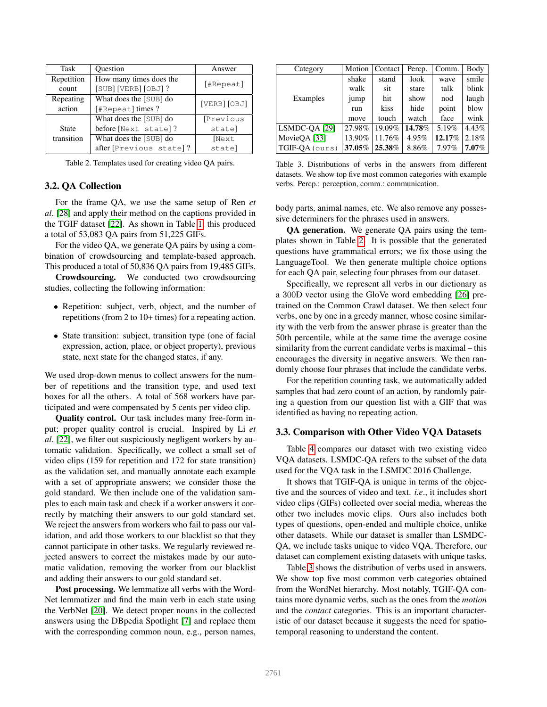| Task       | Ouestion                   | Answer       |  |  |
|------------|----------------------------|--------------|--|--|
| Repetition | How many times does the    |              |  |  |
| count      | $[SUB]$ $[VERB]$ $[OBJ]$ ? | [#Repeat]    |  |  |
| Repeating  | What does the [SUB] do     | [VERB] [OBJ] |  |  |
| action     | [#Repeat] times ?          |              |  |  |
|            | What does the [SUB] do     | [Previous    |  |  |
| State      | before [Next state]?       | statel       |  |  |
| transition | What does the [SUB] do     | [Next        |  |  |
|            | after [Previous state]?    | statel       |  |  |

<span id="page-3-0"></span>Table 2. Templates used for creating video QA pairs.

## 3.2. QA Collection

For the frame QA, we use the same setup of Ren *et al*. [\[28\]](#page-8-1) and apply their method on the captions provided in the TGIF dataset [\[22\]](#page-8-10). As shown in Table [1,](#page-2-0) this produced a total of 53,083 QA pairs from 51,225 GIFs.

For the video QA, we generate QA pairs by using a combination of crowdsourcing and template-based approach. This produced a total of 50,836 QA pairs from 19,485 GIFs.

Crowdsourcing. We conducted two crowdsourcing studies, collecting the following information:

- Repetition: subject, verb, object, and the number of repetitions (from 2 to 10+ times) for a repeating action.
- State transition: subject, transition type (one of facial expression, action, place, or object property), previous state, next state for the changed states, if any.

We used drop-down menus to collect answers for the number of repetitions and the transition type, and used text boxes for all the others. A total of 568 workers have participated and were compensated by 5 cents per video clip.

Quality control. Our task includes many free-form input; proper quality control is crucial. Inspired by Li *et al*. [\[22\]](#page-8-10), we filter out suspiciously negligent workers by automatic validation. Specifically, we collect a small set of video clips (159 for repetition and 172 for state transition) as the validation set, and manually annotate each example with a set of appropriate answers; we consider those the gold standard. We then include one of the validation samples to each main task and check if a worker answers it correctly by matching their answers to our gold standard set. We reject the answers from workers who fail to pass our validation, and add those workers to our blacklist so that they cannot participate in other tasks. We regularly reviewed rejected answers to correct the mistakes made by our automatic validation, removing the worker from our blacklist and adding their answers to our gold standard set.

Post processing. We lemmatize all verbs with the Word-Net lemmatizer and find the main verb in each state using the VerbNet [\[20\]](#page-8-27). We detect proper nouns in the collected answers using the DBpedia Spotlight [\[7\]](#page-8-28) and replace them with the corresponding common noun, e.g., person names,

| Category       | Motion | Contact | Percp. | Comm.  | Body     |
|----------------|--------|---------|--------|--------|----------|
|                | shake  | stand   | look   | wave   | smile    |
|                | walk   | sit     | stare  | talk   | blink    |
| Examples       | jump   | hit     | show   | nod    | laugh    |
|                | run    | kiss    | hide   | point  | blow     |
|                | move   | touch   | watch  | face   | wink     |
| LSMDC-QA [29]  | 27.98% | 19.09%  | 14.78% | 5.19%  | 4.43%    |
| MovieQA [33]   | 13.90% | 11.76%  | 4.95%  | 12.17% | 2.18%    |
| TGIF-QA (ours) | 37.05% | 25.38%  | 8.86%  | 7.97%  | $7.07\%$ |

<span id="page-3-1"></span>Table 3. Distributions of verbs in the answers from different datasets. We show top five most common categories with example verbs. Percp.: perception, comm.: communication.

body parts, animal names, etc. We also remove any possessive determiners for the phrases used in answers.

QA generation. We generate QA pairs using the templates shown in Table [2.](#page-3-0) It is possible that the generated questions have grammatical errors; we fix those using the LanguageTool. We then generate multiple choice options for each QA pair, selecting four phrases from our dataset.

Specifically, we represent all verbs in our dictionary as a 300D vector using the GloVe word embedding [\[26\]](#page-8-29) pretrained on the Common Crawl dataset. We then select four verbs, one by one in a greedy manner, whose cosine similarity with the verb from the answer phrase is greater than the 50th percentile, while at the same time the average cosine similarity from the current candidate verbs is maximal – this encourages the diversity in negative answers. We then randomly choose four phrases that include the candidate verbs.

For the repetition counting task, we automatically added samples that had zero count of an action, by randomly pairing a question from our question list with a GIF that was identified as having no repeating action.

## 3.3. Comparison with Other Video VQA Datasets

Table [4](#page-4-0) compares our dataset with two existing video VQA datasets. LSMDC-QA refers to the subset of the data used for the VQA task in the LSMDC 2016 Challenge.

It shows that TGIF-QA is unique in terms of the objective and the sources of video and text. *i.e*., it includes short video clips (GIFs) collected over social media, whereas the other two includes movie clips. Ours also includes both types of questions, open-ended and multiple choice, unlike other datasets. While our dataset is smaller than LSMDC-QA, we include tasks unique to video VQA. Therefore, our dataset can complement existing datasets with unique tasks.

Table [3](#page-3-1) shows the distribution of verbs used in answers. We show top five most common verb categories obtained from the WordNet hierarchy. Most notably, TGIF-QA contains more dynamic verbs, such as the ones from the *motion* and the *contact* categories. This is an important characteristic of our dataset because it suggests the need for spatiotemporal reasoning to understand the content.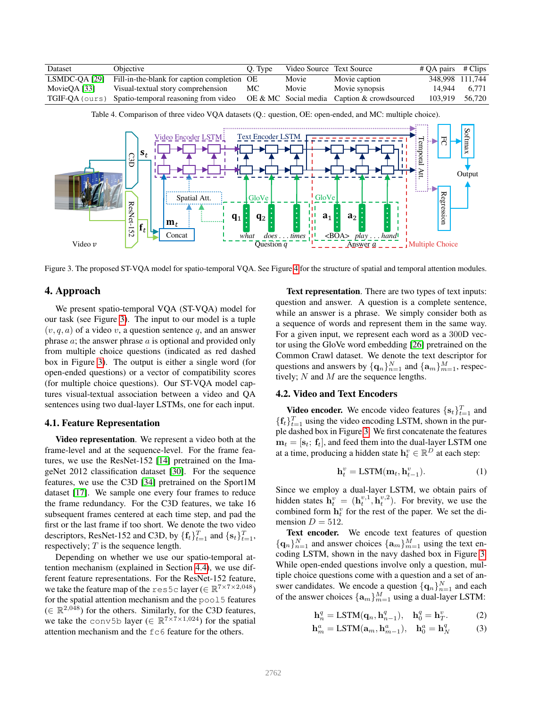| Dataset       | Objective                                           | O. Type | Video Source Text Source |                                             | $# OA$ pairs $# Clips$ |                 |
|---------------|-----------------------------------------------------|---------|--------------------------|---------------------------------------------|------------------------|-----------------|
| LSMDC-OA [29] | Fill-in-the-blank for caption completion OE         |         | Movie                    | Movie caption                               |                        | 348,998 111,744 |
| MovieOA [33]  | Visual-textual story comprehension                  | MC      | Movie                    | Movie synopsis                              | 14.944                 | 6,771           |
|               | TGIF-QA (ours) Spatio-temporal reasoning from video |         |                          | OE & MC Social media Caption & crowdsourced |                        | 103.919 56.720  |



<span id="page-4-0"></span>Table 4. Comparison of three video VQA datasets (Q.: question, OE: open-ended, and MC: multiple choice).

<span id="page-4-1"></span>Figure 3. The proposed ST-VQA model for spatio-temporal VQA. See Figure [4](#page-5-0) for the structure of spatial and temporal attention modules.

### 4. Approach

We present spatio-temporal VQA (ST-VQA) model for our task (see Figure [3\)](#page-4-1). The input to our model is a tuple  $(v, q, a)$  of a video v, a question sentence q, and an answer phrase a; the answer phrase a is optional and provided only from multiple choice questions (indicated as red dashed box in Figure [3\)](#page-4-1). The output is either a single word (for open-ended questions) or a vector of compatibility scores (for multiple choice questions). Our ST-VQA model captures visual-textual association between a video and QA sentences using two dual-layer LSTMs, one for each input.

#### 4.1. Feature Representation

Video representation. We represent a video both at the frame-level and at the sequence-level. For the frame features, we use the ResNet-152 [\[14\]](#page-8-30) pretrained on the ImageNet 2012 classification dataset [\[30\]](#page-8-31). For the sequence features, we use the C3D [\[34\]](#page-8-5) pretrained on the Sport1M dataset [\[17\]](#page-8-3). We sample one every four frames to reduce the frame redundancy. For the C3D features, we take 16 subsequent frames centered at each time step, and pad the first or the last frame if too short. We denote the two video descriptors, ResNet-152 and C3D, by  $\{\mathbf{f}_t\}_{t=1}^T$  and  $\{\mathbf{s}_t\}_{t=1}^T$ , respectively;  $T$  is the sequence length.

Depending on whether we use our spatio-temporal attention mechanism (explained in Section [4.4\)](#page-5-1), we use different feature representations. For the ResNet-152 feature, we take the feature map of the res5c layer ( $\in \mathbb{R}^{7 \times 7 \times 2,048}$ ) for the spatial attention mechanism and the  $pool5$  features  $( \in \mathbb{R}^{2,048})$  for the others. Similarly, for the C3D features, we take the conv5b layer ( $\in \mathbb{R}^{7 \times 7 \times 1,024}$ ) for the spatial attention mechanism and the fc6 feature for the others.

Text representation. There are two types of text inputs: question and answer. A question is a complete sentence, while an answer is a phrase. We simply consider both as a sequence of words and represent them in the same way. For a given input, we represent each word as a 300D vector using the GloVe word embedding [\[26\]](#page-8-29) pretrained on the Common Crawl dataset. We denote the text descriptor for questions and answers by  $\{\mathbf q_n\}_{n=1}^N$  and  $\{\mathbf a_m\}_{m=1}^M$ , respectively;  $N$  and  $M$  are the sequence lengths.

#### 4.2. Video and Text Encoders

**Video encoder.** We encode video features  $\{s_t\}_{t=1}^T$  and  $\{\mathbf f_t\}_{t=1}^T$  using the video encoding LSTM, shown in the purple dashed box in Figure [3.](#page-4-1) We first concatenate the features  $m_t = [s_t; f_t]$ , and feed them into the dual-layer LSTM one at a time, producing a hidden state  $\mathbf{h}_t^v \in \mathbb{R}^D$  at each step:

$$
\mathbf{h}_t^v = \text{LSTM}(\mathbf{m}_t, \mathbf{h}_{t-1}^v). \tag{1}
$$

Since we employ a dual-layer LSTM, we obtain pairs of hidden states  $\mathbf{h}_t^v = (\mathbf{h}_t^{v,1}, \mathbf{h}_t^{v,2})$ . For brevity, we use the combined form  $h_t^v$  for the rest of the paper. We set the dimension  $D = 512$ .

Text encoder. We encode text features of question  $\{\mathbf q_n\}_{n=1}^N$  and answer choices  $\{\mathbf a_m\}_{m=1}^M$  using the text encoding LSTM, shown in the navy dashed box in Figure [3.](#page-4-1) While open-ended questions involve only a question, multiple choice questions come with a question and a set of answer candidates. We encode a question  $\{\mathbf q_n\}_{n=1}^N$  and each of the answer choices  $\{\mathbf a_m\}_{m=1}^M$  using a dual-layer LSTM:

$$
\mathbf{h}_n^q = \text{LSTM}(\mathbf{q}_n, \mathbf{h}_{n-1}^q), \quad \mathbf{h}_0^q = \mathbf{h}_T^v. \tag{2}
$$

$$
\mathbf{h}_m^a = \text{LSTM}(\mathbf{a}_m, \mathbf{h}_{m-1}^a), \quad \mathbf{h}_0^a = \mathbf{h}_N^q \tag{3}
$$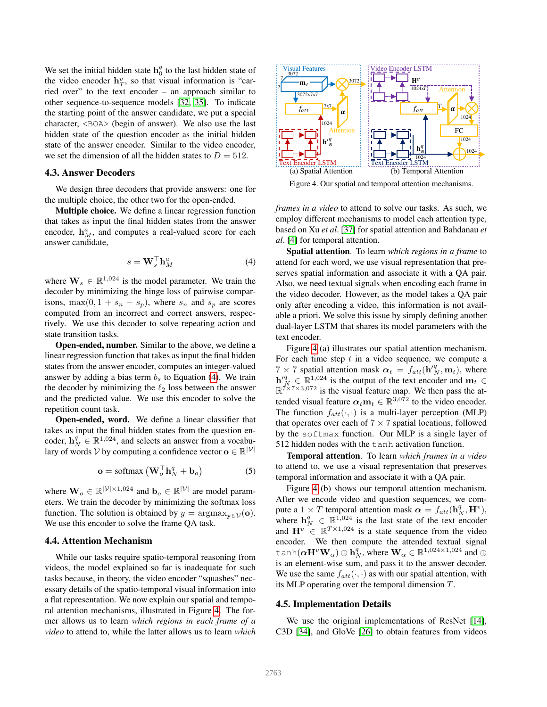We set the initial hidden state  $h_0^q$  to the last hidden state of the video encoder  $h_T^v$ , so that visual information is "carried over" to the text encoder – an approach similar to other sequence-to-sequence models [\[32,](#page-8-32) [35\]](#page-8-33). To indicate the starting point of the answer candidate, we put a special character,  $\langle BOA \rangle$  (begin of answer). We also use the last hidden state of the question encoder as the initial hidden state of the answer encoder. Similar to the video encoder, we set the dimension of all the hidden states to  $D = 512$ .

#### <span id="page-5-3"></span>4.3. Answer Decoders

We design three decoders that provide answers: one for the multiple choice, the other two for the open-ended.

Multiple choice. We define a linear regression function that takes as input the final hidden states from the answer encoder,  $h_M^a$ , and computes a real-valued score for each answer candidate,

$$
s = \mathbf{W}_s^\top \mathbf{h}_M^a \tag{4}
$$

where  $\mathbf{W}_s \in \mathbb{R}^{1,024}$  is the model parameter. We train the decoder by minimizing the hinge loss of pairwise comparisons, max $(0, 1 + s_n - s_p)$ , where  $s_n$  and  $s_p$  are scores computed from an incorrect and correct answers, respectively. We use this decoder to solve repeating action and state transition tasks.

Open-ended, number. Similar to the above, we define a linear regression function that takes as input the final hidden states from the answer encoder, computes an integer-valued answer by adding a bias term  $b_s$  to Equation [\(4\)](#page-5-2). We train the decoder by minimizing the  $\ell_2$  loss between the answer and the predicted value. We use this encoder to solve the repetition count task.

Open-ended, word. We define a linear classifier that takes as input the final hidden states from the question encoder,  $\mathbf{h}_{N}^{q} \in \mathbb{R}^{1,024}$ , and selects an answer from a vocabulary of words V by computing a confidence vector  $\mathbf{o} \in \mathbb{R}^{|\mathcal{V}|}$ 

$$
\mathbf{o} = \text{softmax}\left(\mathbf{W}_o^{\top} \mathbf{h}_N^q + \mathbf{b}_o\right) \tag{5}
$$

where  $\mathbf{W}_o \in \mathbb{R}^{|\mathcal{V}| \times 1,024}$  and  $\mathbf{b}_o \in \mathbb{R}^{|\mathcal{V}|}$  are model parameters. We train the decoder by minimizing the softmax loss function. The solution is obtained by  $y = \argmax_{\mathbf{v} \in \mathcal{V}}(\mathbf{o}).$ We use this encoder to solve the frame QA task.

#### <span id="page-5-1"></span>4.4. Attention Mechanism

While our tasks require spatio-temporal reasoning from videos, the model explained so far is inadequate for such tasks because, in theory, the video encoder "squashes" necessary details of the spatio-temporal visual information into a flat representation. We now explain our spatial and temporal attention mechanisms, illustrated in Figure [4.](#page-5-0) The former allows us to learn *which regions in each frame of a video* to attend to, while the latter allows us to learn *which*



<span id="page-5-0"></span>Figure 4. Our spatial and temporal attention mechanisms.

*frames in a video* to attend to solve our tasks. As such, we employ different mechanisms to model each attention type, based on Xu *et al*. [\[37\]](#page-8-34) for spatial attention and Bahdanau *et al*. [\[4\]](#page-8-35) for temporal attention.

<span id="page-5-2"></span>Spatial attention. To learn *which regions in a frame* to attend for each word, we use visual representation that preserves spatial information and associate it with a QA pair. Also, we need textual signals when encoding each frame in the video decoder. However, as the model takes a QA pair only after encoding a video, this information is not available a priori. We solve this issue by simply defining another dual-layer LSTM that shares its model parameters with the text encoder.

Figure [4](#page-5-0) (a) illustrates our spatial attention mechanism. For each time step  $t$  in a video sequence, we compute a  $7 \times 7$  spatial attention mask  $\alpha_t = f_{att}(\mathbf{h'}_N^q, \mathbf{m}_t)$ , where  $\mathbf{h}'_N^q \in \mathbb{R}^{1,024}$  is the output of the text encoder and  $\mathbf{m}_t \in$  $\mathbb{R}^{7 \times 7 \times 3,072}$  is the visual feature map. We then pass the attended visual feature  $\alpha_t \mathbf{m}_t \in \mathbb{R}^{3,0\bar{7}2}$  to the video encoder. The function  $f_{att}(\cdot, \cdot)$  is a multi-layer perception (MLP) that operates over each of  $7 \times 7$  spatial locations, followed by the softmax function. Our MLP is a single layer of 512 hidden nodes with the tanh activation function.

Temporal attention. To learn *which frames in a video* to attend to, we use a visual representation that preserves temporal information and associate it with a QA pair.

Figure [4](#page-5-0) (b) shows our temporal attention mechanism. After we encode video and question sequences, we compute a  $1 \times T$  temporal attention mask  $\alpha = f_{att}(\mathbf{h}_N^q, \mathbf{H}^v)$ , where  $\mathbf{h}_{N}^{q} \in \mathbb{R}^{1,024}$  is the last state of the text encoder and  $\mathbf{H}^{v} \in \mathbb{R}^{T \times 1,024}$  is a state sequence from the video encoder. We then compute the attended textual signal  $\tanh(\alpha \mathbf{H}^v \mathbf{W}_\alpha) \oplus \mathbf{h}^q_N$ , where  $\mathbf{W}_\alpha \in \mathbb{R}^{1,024 \times 1,024}$  and  $\oplus$ is an element-wise sum, and pass it to the answer decoder. We use the same  $f_{att}(\cdot, \cdot)$  as with our spatial attention, with its MLP operating over the temporal dimension T.

#### 4.5. Implementation Details

We use the original implementations of ResNet [\[14\]](#page-8-30), C3D [\[34\]](#page-8-5), and GloVe [\[26\]](#page-8-29) to obtain features from videos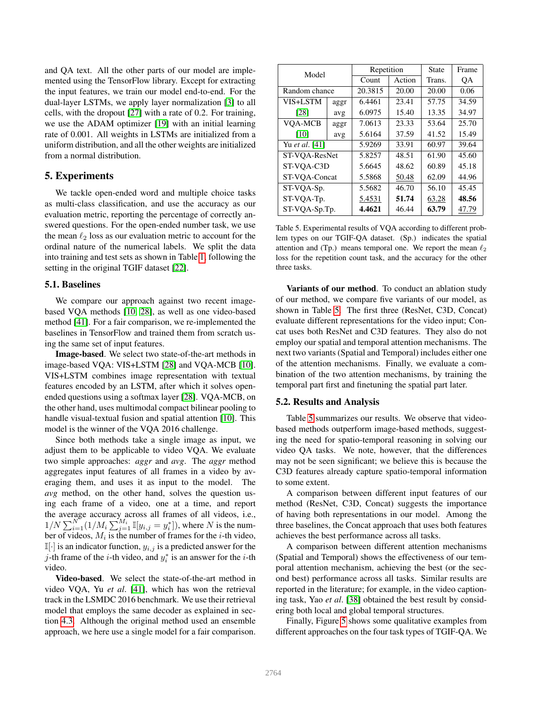and QA text. All the other parts of our model are implemented using the TensorFlow library. Except for extracting the input features, we train our model end-to-end. For the dual-layer LSTMs, we apply layer normalization [\[3\]](#page-7-2) to all cells, with the dropout [\[27\]](#page-8-36) with a rate of 0.2. For training, we use the ADAM optimizer [\[19\]](#page-8-37) with an initial learning rate of 0.001. All weights in LSTMs are initialized from a uniform distribution, and all the other weights are initialized from a normal distribution.

## <span id="page-6-0"></span>5. Experiments

We tackle open-ended word and multiple choice tasks as multi-class classification, and use the accuracy as our evaluation metric, reporting the percentage of correctly answered questions. For the open-ended number task, we use the mean  $\ell_2$  loss as our evaluation metric to account for the ordinal nature of the numerical labels. We split the data into training and test sets as shown in Table [1,](#page-2-0) following the setting in the original TGIF dataset [\[22\]](#page-8-10).

#### 5.1. Baselines

We compare our approach against two recent imagebased VQA methods [\[10,](#page-8-13) [28\]](#page-8-1), as well as one video-based method [\[41\]](#page-8-25). For a fair comparison, we re-implemented the baselines in TensorFlow and trained them from scratch using the same set of input features.

Image-based. We select two state-of-the-art methods in image-based VQA: VIS+LSTM [\[28\]](#page-8-1) and VQA-MCB [\[10\]](#page-8-13). VIS+LSTM combines image representation with textual features encoded by an LSTM, after which it solves openended questions using a softmax layer [\[28\]](#page-8-1). VQA-MCB, on the other hand, uses multimodal compact bilinear pooling to handle visual-textual fusion and spatial attention [\[10\]](#page-8-13). This model is the winner of the VQA 2016 challenge.

Since both methods take a single image as input, we adjust them to be applicable to video VQA. We evaluate two simple approaches: *aggr* and *avg*. The *aggr* method aggregates input features of all frames in a video by averaging them, and uses it as input to the model. The *avg* method, on the other hand, solves the question using each frame of a video, one at a time, and report the average accuracy across all frames of all videos, i.e.,  $1/N \sum_{i=1}^{N} (1/M_i \sum_{j=1}^{M_i} \mathbb{I}[y_{i,j} = y_i^*])$ , where N is the number of videos,  $M_i$  is the number of frames for the *i*-th video,  $\mathbb{I}[\cdot]$  is an indicator function,  $y_{i,j}$  is a predicted answer for the *j*-th frame of the *i*-th video, and  $y_i^*$  is an answer for the *i*-th video.

Video-based. We select the state-of-the-art method in video VQA, Yu *et al*. [\[41\]](#page-8-25), which has won the retrieval track in the LSMDC 2016 benchmark. We use their retrieval model that employs the same decoder as explained in section [4.3.](#page-5-3) Although the original method used an ensemble approach, we here use a single model for a fair comparison.

| Model          |      | Repetition |        | <b>State</b> | Frame |
|----------------|------|------------|--------|--------------|-------|
|                |      | Count      | Action | Trans.       | QA    |
| Random chance  |      | 20.3815    | 20.00  | 20.00        | 0.06  |
| VIS+LSTM       | aggr | 6.4461     | 23.41  | 57.75        | 34.59 |
| [28]           | avg  | 6.0975     | 15.40  | 13.35        | 34.97 |
| VOA-MCB        | aggr | 7.0613     | 23.33  | 53.64        | 25.70 |
| [10]           | avg  | 5.6164     | 37.59  | 41.52        | 15.49 |
| Yu et al. [41] |      | 5.9269     | 33.91  | 60.97        | 39.64 |
| ST-VQA-ResNet  |      | 5.8257     | 48.51  | 61.90        | 45.60 |
| ST-VOA-C3D     |      | 5.6645     | 48.62  | 60.89        | 45.18 |
| ST-VOA-Concat  |      | 5.5868     | 50.48  | 62.09        | 44.96 |
| ST-VQA-Sp.     |      | 5.5682     | 46.70  | 56.10        | 45.45 |
| ST-VOA-Tp.     |      | 5.4531     | 51.74  | 63.28        | 48.56 |
| ST-VQA-Sp.Tp.  |      | 4.4621     | 46.44  | 63.79        | 47.79 |

<span id="page-6-1"></span>Table 5. Experimental results of VQA according to different problem types on our TGIF-QA dataset. (Sp.) indicates the spatial attention and (Tp.) means temporal one. We report the mean  $\ell_2$ loss for the repetition count task, and the accuracy for the other three tasks.

Variants of our method. To conduct an ablation study of our method, we compare five variants of our model, as shown in Table [5.](#page-6-1) The first three (ResNet, C3D, Concat) evaluate different representations for the video input; Concat uses both ResNet and C3D features. They also do not employ our spatial and temporal attention mechanisms. The next two variants (Spatial and Temporal) includes either one of the attention mechanisms. Finally, we evaluate a combination of the two attention mechanisms, by training the temporal part first and finetuning the spatial part later.

#### 5.2. Results and Analysis

Table [5](#page-6-1) summarizes our results. We observe that videobased methods outperform image-based methods, suggesting the need for spatio-temporal reasoning in solving our video QA tasks. We note, however, that the differences may not be seen significant; we believe this is because the C3D features already capture spatio-temporal information to some extent.

A comparison between different input features of our method (ResNet, C3D, Concat) suggests the importance of having both representations in our model. Among the three baselines, the Concat approach that uses both features achieves the best performance across all tasks.

A comparison between different attention mechanisms (Spatial and Temporal) shows the effectiveness of our temporal attention mechanism, achieving the best (or the second best) performance across all tasks. Similar results are reported in the literature; for example, in the video captioning task, Yao *et al*. [\[38\]](#page-8-38) obtained the best result by considering both local and global temporal structures.

Finally, Figure [5](#page-7-3) shows some qualitative examples from different approaches on the four task types of TGIF-QA. We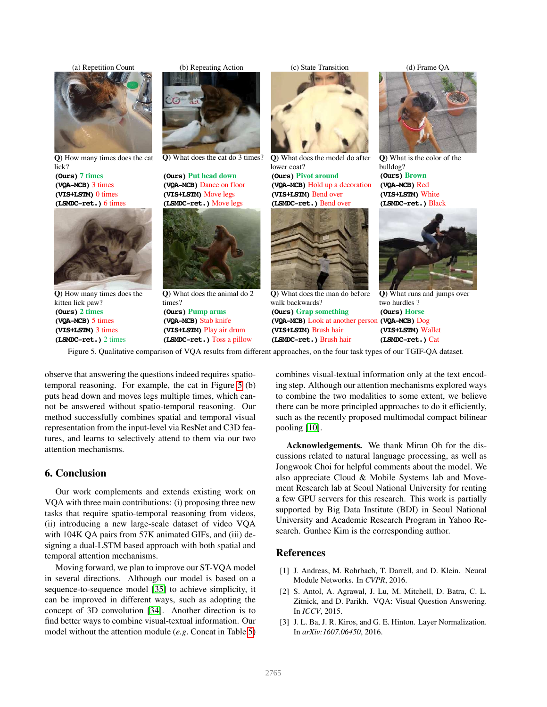(a) Repetition Count



**Q)** How many times does the cat lick? **(Ours) 7 times**

**(VQA-MCB)** 3 times **(VIS+LSTM)** 0 times **(LSMDC-ret.)** 6 times



**Q)** How many times does the kitten lick paw? **(Ours) 2 times (VQA-MCB)** 5 times **(VIS+LSTM)** 3 times **(LSMDC-ret.)** 2 times





**Q)** What does the cat do 3 times?

**(Ours) Put head down (VQA-MCB)** Dance on floor **(VIS+LSTM)** Move legs **(LSMDC-ret.)** Move legs



**Q)** What does the animal do 2 times? **(Ours) Pump arms (VQA-MCB)** Stab knife **(VIS+LSTM)** Play air drum **(LSMDC-ret.)** Toss a pillow

(c) State Transition



**Q)** What does the model do after lower coat? **(Ours) Pivot around (VQA-MCB)** Hold up a decoration **(VIS+LSTM)** Bend over



(VQA-MCB) Look at another person (VQA-MCB) Dog **Q)** What does the man do before walk backwards? **(Ours) Grap something (VIS+LSTM)** Brush hair **(LSMDC-ret.)** Brush hair



**Q)** What is the color of the bulldog? **(Ours) Brown (VQA-MCB)** Red **(VIS+LSTM)** White **(LSMDC-ret.)** Black



**Q)** What runs and jumps over two hurdles ? **(Ours) Horse (VIS+LSTM)** Wallet **(LSMDC-ret.)** Cat

<span id="page-7-3"></span>Figure 5. Qualitative comparison of VQA results from different approaches, on the four task types of our TGIF-QA dataset.

observe that answering the questions indeed requires spatiotemporal reasoning. For example, the cat in Figure [5](#page-7-3) (b) puts head down and moves legs multiple times, which cannot be answered without spatio-temporal reasoning. Our method successfully combines spatial and temporal visual representation from the input-level via ResNet and C3D features, and learns to selectively attend to them via our two attention mechanisms.

## 6. Conclusion

Our work complements and extends existing work on VQA with three main contributions: (i) proposing three new tasks that require spatio-temporal reasoning from videos, (ii) introducing a new large-scale dataset of video VQA with 104K QA pairs from 57K animated GIFs, and (iii) designing a dual-LSTM based approach with both spatial and temporal attention mechanisms.

Moving forward, we plan to improve our ST-VQA model in several directions. Although our model is based on a sequence-to-sequence model [\[35\]](#page-8-33) to achieve simplicity, it can be improved in different ways, such as adopting the concept of 3D convolution [\[34\]](#page-8-5). Another direction is to find better ways to combine visual-textual information. Our model without the attention module (*e.g*. Concat in Table [5\)](#page-6-1)

combines visual-textual information only at the text encoding step. Although our attention mechanisms explored ways to combine the two modalities to some extent, we believe there can be more principled approaches to do it efficiently, such as the recently proposed multimodal compact bilinear pooling [\[10\]](#page-8-13).

Acknowledgements. We thank Miran Oh for the discussions related to natural language processing, as well as Jongwook Choi for helpful comments about the model. We also appreciate Cloud & Mobile Systems lab and Movement Research lab at Seoul National University for renting a few GPU servers for this research. This work is partially supported by Big Data Institute (BDI) in Seoul National University and Academic Research Program in Yahoo Research. Gunhee Kim is the corresponding author.

## References

- <span id="page-7-1"></span>[1] J. Andreas, M. Rohrbach, T. Darrell, and D. Klein. Neural Module Networks. In *CVPR*, 2016.
- <span id="page-7-0"></span>[2] S. Antol, A. Agrawal, J. Lu, M. Mitchell, D. Batra, C. L. Zitnick, and D. Parikh. VQA: Visual Question Answering. In *ICCV*, 2015.
- <span id="page-7-2"></span>[3] J. L. Ba, J. R. Kiros, and G. E. Hinton. Layer Normalization. In *arXiv:1607.06450*, 2016.